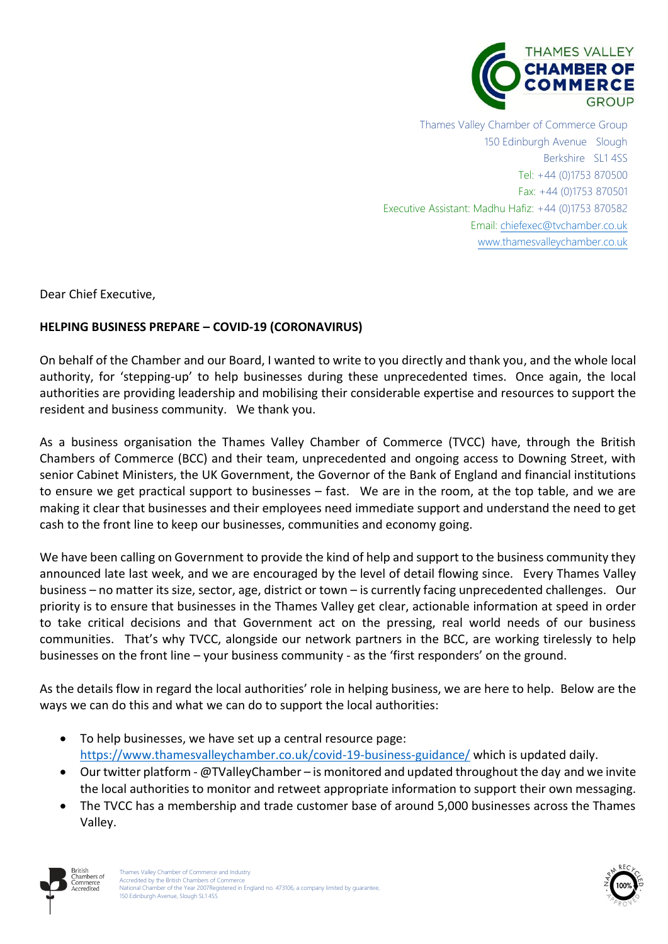

Thames Valley Chamber of Commerce Group 150 Edinburgh Avenue Slough Berkshire SL1 4SS Tel: +44 (0)1753 870500 Fax: +44 (0)1753 870501 Executive Assistant: Madhu Hafiz: +44 (0)1753 870582 Email: [chiefexec@tvchamber.co.uk](mailto:chiefexec@tvchamber.co.uk) [www.thamesvalleychamber.co.uk](http://www.thamesvalleychamber.co.uk/)

Dear Chief Executive,

## **HELPING BUSINESS PREPARE – COVID-19 (CORONAVIRUS)**

On behalf of the Chamber and our Board, I wanted to write to you directly and thank you, and the whole local authority, for 'stepping-up' to help businesses during these unprecedented times. Once again, the local authorities are providing leadership and mobilising their considerable expertise and resources to support the resident and business community. We thank you.

As a business organisation the Thames Valley Chamber of Commerce (TVCC) have, through the British Chambers of Commerce (BCC) and their team, unprecedented and ongoing access to Downing Street, with senior Cabinet Ministers, the UK Government, the Governor of the Bank of England and financial institutions making it clear that businesses and their employees need immediate support and understand the need to get numing is clear that a democres and them empire year in the ambienties empire and and consider the communities and economy going.  $\alpha$  commerce  $\beta$  is  $\beta$ . to ensure we get practical support to businesses – fast. We are in the room, at the top table, and we are

businesses on the front line – your business - as We have been calling on Government to provide the kind of help and support to the business community they<br> announced late last week, and we are encouraged by the level of detail flowing since. Every Thames Valley business – no matter its size, sector, age, district or town – is currently facing unprecedented challenges. Our priority is to ensure that businesses in the Thames Valley get clear, actionable information at speed in order to take critical decisions and that Government act on the pressing, real world needs of our business communities. That's why TVCC, alongside our network partners in the BCC, are working tirelessly to help businesses on the front line – your business community - as the 'first responders' on the ground.

As the details flow in regard the local authorities' role in helping business, we are here to help. Below are the In the network of the need to support and the need to the need to meet the need to help the need to help the need to support the local authorities: det cash to the font line to keep our businesses, which is the form of the form of the form of the form of the set of the set of the set of the set of the set of the set of the set of the set of the set of the set of the s

- <https://www.thamesvalleychamber.co.uk/covid-19-business-guidance/> which is updated daily. • To help businesses, we have set up a central resource page:
- $\bullet$  Our twitter platform @TValleyChamber is monitored and updated throughout the day and we invite the local authorities to monitor and retweet appropriate information to support their own messaging.
- The TVCC has a membership and trade customer base of around 5,000 businesses across the Thames Valley.